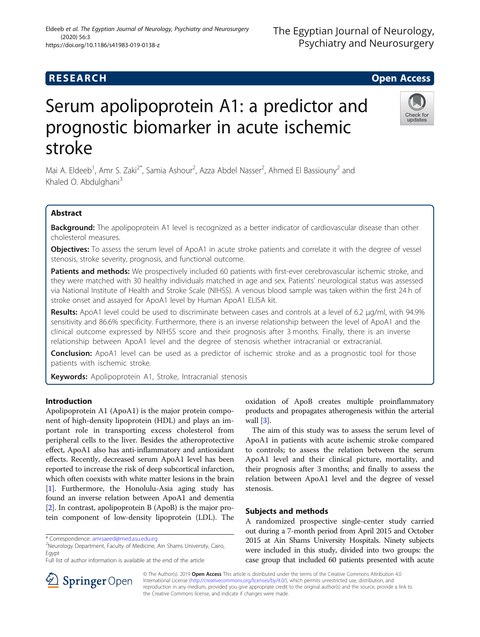# **RESEARCH CHE Open Access**

# Serum apolipoprotein A1: a predictor and prognostic biomarker in acute ischemic stroke

Mai A. Eldeeb<sup>1</sup>, Amr S. Zaki<sup>2\*</sup>, Samia Ashour<sup>2</sup>, Azza Abdel Nasser<sup>2</sup>, Ahmed El Bassiouny<sup>2</sup> and Khaled O. Abdulghani<sup>3</sup>

# Abstract

Background: The apolipoprotein A1 level is recognized as a better indicator of cardiovascular disease than other cholesterol measures.

Objectives: To assess the serum level of ApoA1 in acute stroke patients and correlate it with the degree of vessel stenosis, stroke severity, prognosis, and functional outcome.

Patients and methods: We prospectively included 60 patients with first-ever cerebrovascular ischemic stroke, and they were matched with 30 healthy individuals matched in age and sex. Patients' neurological status was assessed via National Institute of Health and Stroke Scale (NIHSS). A venous blood sample was taken within the first 24 h of stroke onset and assayed for ApoA1 level by Human ApoA1 ELISA kit.

Results: ApoA1 level could be used to discriminate between cases and controls at a level of 6.2 μg/ml, with 94.9% sensitivity and 86.6% specificity. Furthermore, there is an inverse relationship between the level of ApoA1 and the clinical outcome expressed by NIHSS score and their prognosis after 3 months. Finally, there is an inverse relationship between ApoA1 level and the degree of stenosis whether intracranial or extracranial.

**Conclusion:** ApoA1 level can be used as a predictor of ischemic stroke and as a prognostic tool for those patients with ischemic stroke.

Keywords: Apolipoprotein A1, Stroke, Intracranial stenosis

# Introduction

Apolipoprotein A1 (ApoA1) is the major protein component of high-density lipoprotein (HDL) and plays an important role in transporting excess cholesterol from peripheral cells to the liver. Besides the atheroprotective effect, ApoA1 also has anti-inflammatory and antioxidant effects. Recently, decreased serum ApoA1 level has been reported to increase the risk of deep subcortical infarction, which often coexists with white matter lesions in the brain [[1\]](#page-4-0). Furthermore, the Honolulu-Asia aging study has found an inverse relation between ApoA1 and dementia [[2\]](#page-4-0). In contrast, apolipoprotein B (ApoB) is the major protein component of low-density lipoprotein (LDL). The

SpringerOpen

<sup>2</sup>Neurology Department, Faculty of Medicine, Ain Shams University, Cairo, Egypt

oxidation of ApoB creates multiple proinflammatory products and propagates atherogenesis within the arterial wall [\[3](#page-4-0)].

The aim of this study was to assess the serum level of ApoA1 in patients with acute ischemic stroke compared to controls; to assess the relation between the serum ApoA1 level and their clinical picture, mortality, and their prognosis after 3 months; and finally to assess the relation between ApoA1 level and the degree of vessel stenosis.

## Subjects and methods

A randomized prospective single-center study carried out during a 7-month period from April 2015 and October 2015 at Ain Shams University Hospitals. Ninety subjects were included in this study, divided into two groups: the case group that included 60 patients presented with acute

© The Author(s). 2019 Open Access This article is distributed under the terms of the Creative Commons Attribution 4.0 International License ([http://creativecommons.org/licenses/by/4.0/\)](http://creativecommons.org/licenses/by/4.0/), which permits unrestricted use, distribution, and reproduction in any medium, provided you give appropriate credit to the original author(s) and the source, provide a link to the Creative Commons license, and indicate if changes were made.



<sup>\*</sup> Correspondence: [amrsaeed@med.asu.edu.eg](mailto:amrsaeed@med.asu.edu.eg) <sup>2</sup>

Full list of author information is available at the end of the article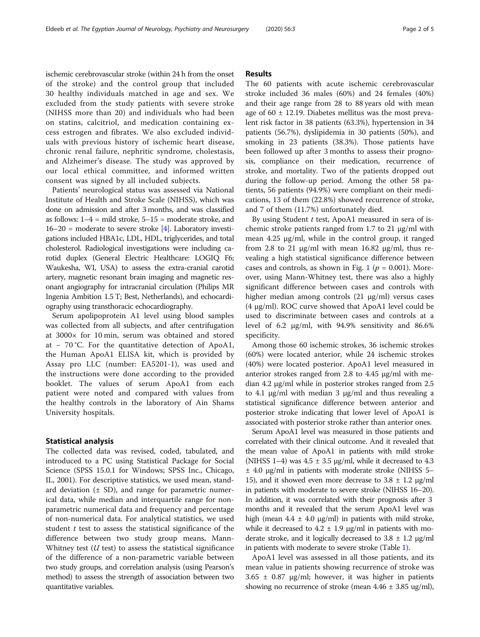ischemic cerebrovascular stroke (within 24 h from the onset of the stroke) and the control group that included 30 healthy individuals matched in age and sex. We excluded from the study patients with severe stroke (NIHSS more than 20) and individuals who had been on statins, calcitriol, and medication containing excess estrogen and fibrates. We also excluded individuals with previous history of ischemic heart disease, chronic renal failure, nephritic syndrome, cholestasis, and Alzheimer's disease. The study was approved by our local ethical committee, and informed written consent was signed by all included subjects.

Patients' neurological status was assessed via National Institute of Health and Stroke Scale (NIHSS), which was done on admission and after 3 months, and was classified as follows:  $1-4 =$  mild stroke,  $5-15 =$  moderate stroke, and  $16-20$  = moderate to severe stroke [[4\]](#page-4-0). Laboratory investigations included HBA1c, LDL, HDL, triglycerides, and total cholesterol. Radiological investigations were including carotid duplex (General Electric Healthcare: LOGIQ F6; Waukesha, WI, USA) to assess the extra-cranial carotid artery, magnetic resonant brain imaging and magnetic resonant angiography for intracranial circulation (Philips MR Ingenia Ambition 1.5 T; Best, Netherlands), and echocardiography using transthoracic echocardiography.

Serum apolipoprotein A1 level using blood samples was collected from all subjects, and after centrifugation at 3000× for 10 min, serum was obtained and stored at − 70 °C. For the quantitative detection of ApoA1, the Human ApoA1 ELISA kit, which is provided by Assay pro LLC (number: EA5201-1), was used and the instructions were done according to the provided booklet. The values of serum ApoA1 from each patient were noted and compared with values from the healthy controls in the laboratory of Ain Shams University hospitals.

#### Statistical analysis

The collected data was revised, coded, tabulated, and introduced to a PC using Statistical Package for Social Science (SPSS 15.0.1 for Windows; SPSS Inc., Chicago, IL, 2001). For descriptive statistics, we used mean, standard deviation  $(\pm S_D)$ , and range for parametric numerical data, while median and interquartile range for nonparametric numerical data and frequency and percentage of non-numerical data. For analytical statistics, we used student  $t$  test to assess the statistical significance of the difference between two study group means, Mann-Whitney test  $(U \text{ test})$  to assess the statistical significance of the difference of a non-parametric variable between two study groups, and correlation analysis (using Pearson's method) to assess the strength of association between two quantitative variables.

### Results

The 60 patients with acute ischemic cerebrovascular stroke included 36 males (60%) and 24 females (40%) and their age range from 28 to 88 years old with mean age of  $60 \pm 12.19$ . Diabetes mellitus was the most prevalent risk factor in 38 patients (63.3%), hypertension in 34 patients (56.7%), dyslipidemia in 30 patients (50%), and smoking in 23 patients (38.3%). Those patients have been followed up after 3 months to assess their prognosis, compliance on their medication, recurrence of stroke, and mortality. Two of the patients dropped out during the follow-up period. Among the other 58 patients, 56 patients (94.9%) were compliant on their medications, 13 of them (22.8%) showed recurrence of stroke, and 7 of them (11.7%) unfortunately died.

By using Student  $t$  test, ApoA1 measured in sera of ischemic stroke patients ranged from 1.7 to 21 μg/ml with mean 4.25 μg/ml, while in the control group, it ranged from 2.8 to 21  $\mu$ g/ml with mean 16.82  $\mu$ g/ml, thus revealing a high statistical significance difference between cases and controls, as shown in Fig. [1](#page-2-0) ( $p = 0.001$ ). Moreover, using Mann-Whitney test, there was also a highly significant difference between cases and controls with higher median among controls (21 μg/ml) versus cases (4 μg/ml). ROC curve showed that ApoA1 level could be used to discriminate between cases and controls at a level of 6.2 μg/ml, with 94.9% sensitivity and 86.6% specificity.

Among those 60 ischemic strokes, 36 ischemic strokes (60%) were located anterior, while 24 ischemic strokes (40%) were located posterior. ApoA1 level measured in anterior strokes ranged from 2.8 to 4.45 μg/ml with median 4.2 μg/ml while in posterior strokes ranged from 2.5 to 4.1 μg/ml with median 3 μg/ml and thus revealing a statistical significance difference between anterior and posterior stroke indicating that lower level of ApoA1 is associated with posterior stroke rather than anterior ones.

Serum ApoA1 level was measured in those patients and correlated with their clinical outcome. And it revealed that the mean value of ApoA1 in patients with mild stroke (NIHSS 1–4) was  $4.5 \pm 3.5$  µg/ml, while it decreased to  $4.3$ ± 4.0 μg/ml in patients with moderate stroke (NIHSS 5– 15), and it showed even more decrease to  $3.8 \pm 1.2$  μg/ml in patients with moderate to severe stroke (NIHSS 16–20). In addition, it was correlated with their prognosis after 3 months and it revealed that the serum ApoA1 level was high (mean  $4.4 \pm 4.0 \mu g/ml$ ) in patients with mild stroke, while it decreased to  $4.2 \pm 1.9$  µg/ml in patients with moderate stroke, and it logically decreased to  $3.8 \pm 1.2$   $\mu$ g/ml in patients with moderate to severe stroke (Table [1\)](#page-2-0).

ApoA1 level was assessed in all those patients, and its mean value in patients showing recurrence of stroke was  $3.65 \pm 0.87$  μg/ml; however, it was higher in patients showing no recurrence of stroke (mean  $4.46 \pm 3.85$  ug/ml),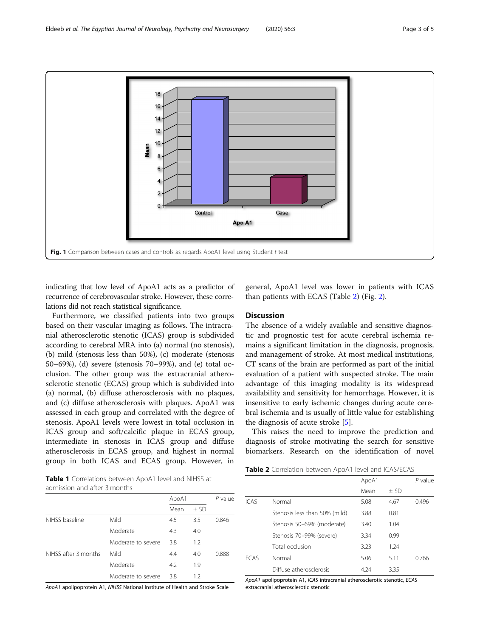<span id="page-2-0"></span>

indicating that low level of ApoA1 acts as a predictor of recurrence of cerebrovascular stroke. However, these correlations did not reach statistical significance.

Furthermore, we classified patients into two groups based on their vascular imaging as follows. The intracranial atherosclerotic stenotic (ICAS) group is subdivided according to cerebral MRA into (a) normal (no stenosis), (b) mild (stenosis less than 50%), (c) moderate (stenosis 50–69%), (d) severe (stenosis 70–99%), and (e) total occlusion. The other group was the extracranial atherosclerotic stenotic (ECAS) group which is subdivided into (a) normal, (b) diffuse atherosclerosis with no plaques, and (c) diffuse atherosclerosis with plaques. ApoA1 was assessed in each group and correlated with the degree of stenosis. ApoA1 levels were lowest in total occlusion in ICAS group and soft/calcific plaque in ECAS group, intermediate in stenosis in ICAS group and diffuse atherosclerosis in ECAS group, and highest in normal group in both ICAS and ECAS group. However, in

general, ApoA1 level was lower in patients with ICAS than patients with ECAS (Table 2) (Fig. [2\)](#page-3-0).

# **Discussion**

The absence of a widely available and sensitive diagnostic and prognostic test for acute cerebral ischemia remains a significant limitation in the diagnosis, prognosis, and management of stroke. At most medical institutions, CT scans of the brain are performed as part of the initial evaluation of a patient with suspected stroke. The main advantage of this imaging modality is its widespread availability and sensitivity for hemorrhage. However, it is insensitive to early ischemic changes during acute cerebral ischemia and is usually of little value for establishing the diagnosis of acute stroke [[5\]](#page-4-0).

This raises the need to improve the prediction and diagnosis of stroke motivating the search for sensitive biomarkers. Research on the identification of novel

Table 1 Correlations between ApoA1 level and NIHSS at admission and after 3 months

|                      |                    | ApoA1 |        | $P$ value |
|----------------------|--------------------|-------|--------|-----------|
|                      |                    | Mean  | $±$ SD |           |
| NIHSS baseline       | Mild               | 4.5   | 3.5    | 0.846     |
|                      | Moderate           | 4.3   | 4.0    |           |
|                      | Moderate to severe | 3.8   | 1.2    |           |
| NIHSS after 3 months | Mild               | 4.4   | 4.0    | 0.888     |
|                      | Moderate           | 4.2   | 1.9    |           |
|                      | Moderate to severe | 3.8   | 1.2    |           |

ApoA1 apolipoprotein A1, NIHSS National Institute of Health and Stroke Scale

Table 2 Correlation between ApoA1 level and ICAS/ECAS

|             |                               | ApoA1 |        |       |
|-------------|-------------------------------|-------|--------|-------|
|             |                               | Mean  | $±$ SD |       |
| <b>ICAS</b> | Normal                        | 5.08  | 4.67   | 0.496 |
|             | Stenosis less than 50% (mild) | 3.88  | 0.81   |       |
|             | Stenosis 50-69% (moderate)    | 3.40  | 1.04   |       |
|             | Stenosis 70-99% (severe)      | 3.34  | 0.99   |       |
|             | Total occlusion               | 3.23  | 1.24   |       |
| <b>FCAS</b> | Normal                        | 5.06  | 5.11   | 0.766 |
|             | Diffuse atherosclerosis       | 4.24  | 3.35   |       |

ApoA1 apolipoprotein A1, ICAS intracranial atherosclerotic stenotic, ECAS extracranial atherosclerotic stenotic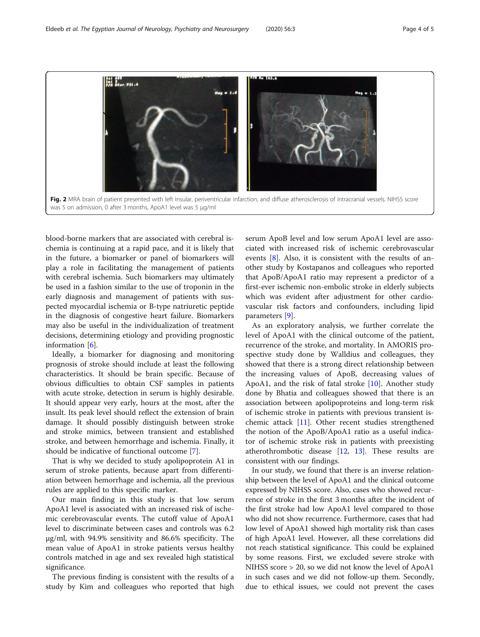<span id="page-3-0"></span>

blood-borne markers that are associated with cerebral ischemia is continuing at a rapid pace, and it is likely that in the future, a biomarker or panel of biomarkers will play a role in facilitating the management of patients with cerebral ischemia. Such biomarkers may ultimately be used in a fashion similar to the use of troponin in the early diagnosis and management of patients with suspected myocardial ischemia or B-type natriuretic peptide in the diagnosis of congestive heart failure. Biomarkers may also be useful in the individualization of treatment decisions, determining etiology and providing prognostic information [\[6](#page-4-0)].

Ideally, a biomarker for diagnosing and monitoring prognosis of stroke should include at least the following characteristics. It should be brain specific. Because of obvious difficulties to obtain CSF samples in patients with acute stroke, detection in serum is highly desirable. It should appear very early, hours at the most, after the insult. Its peak level should reflect the extension of brain damage. It should possibly distinguish between stroke and stroke mimics, between transient and established stroke, and between hemorrhage and ischemia. Finally, it should be indicative of functional outcome [\[7](#page-4-0)].

That is why we decided to study apolipoprotein A1 in serum of stroke patients, because apart from differentiation between hemorrhage and ischemia, all the previous rules are applied to this specific marker.

Our main finding in this study is that low serum ApoA1 level is associated with an increased risk of ischemic cerebrovascular events. The cutoff value of ApoA1 level to discriminate between cases and controls was 6.2 μg/ml, with 94.9% sensitivity and 86.6% specificity. The mean value of ApoA1 in stroke patients versus healthy controls matched in age and sex revealed high statistical significance.

The previous finding is consistent with the results of a study by Kim and colleagues who reported that high serum ApoB level and low serum ApoA1 level are associated with increased risk of ischemic cerebrovascular events [[8\]](#page-4-0). Also, it is consistent with the results of another study by Kostapanos and colleagues who reported that ApoB/ApoA1 ratio may represent a predictor of a first-ever ischemic non-embolic stroke in elderly subjects which was evident after adjustment for other cardiovascular risk factors and confounders, including lipid parameters [\[9](#page-4-0)].

As an exploratory analysis, we further correlate the level of ApoA1 with the clinical outcome of the patient, recurrence of the stroke, and mortality. In AMORIS prospective study done by Walldius and colleagues, they showed that there is a strong direct relationship between the increasing values of ApoB, decreasing values of ApoA1, and the risk of fatal stroke [[10\]](#page-4-0). Another study done by Bhatia and colleagues showed that there is an association between apolipoproteins and long-term risk of ischemic stroke in patients with previous transient ischemic attack [[11\]](#page-4-0). Other recent studies strengthened the notion of the ApoB/ApoA1 ratio as a useful indicator of ischemic stroke risk in patients with preexisting atherothrombotic disease [[12](#page-4-0), [13\]](#page-4-0). These results are consistent with our findings.

In our study, we found that there is an inverse relationship between the level of ApoA1 and the clinical outcome expressed by NIHSS score. Also, cases who showed recurrence of stroke in the first 3 months after the incident of the first stroke had low ApoA1 level compared to those who did not show recurrence. Furthermore, cases that had low level of ApoA1 showed high mortality risk than cases of high ApoA1 level. However, all these correlations did not reach statistical significance. This could be explained by some reasons. First, we excluded severe stroke with NIHSS score > 20, so we did not know the level of ApoA1 in such cases and we did not follow-up them. Secondly, due to ethical issues, we could not prevent the cases